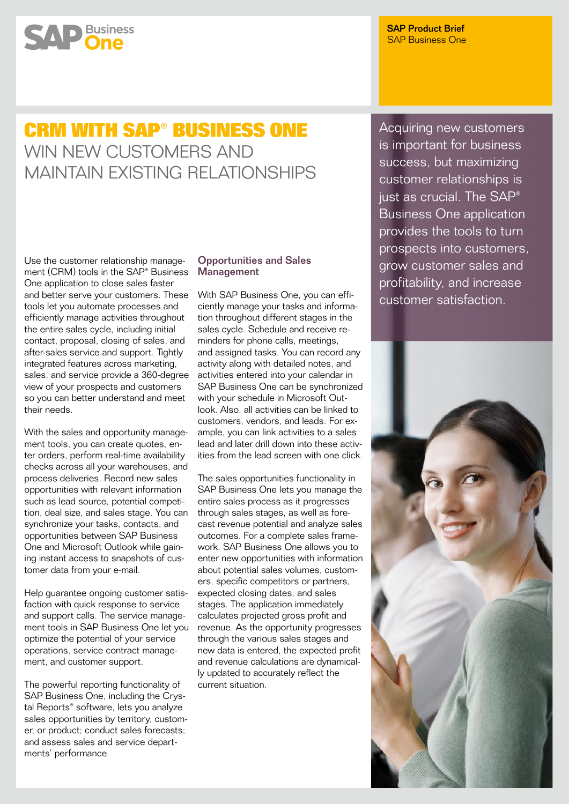# **SAP** Business

SAP Product Brief SAP Business One

## **CRM with SAP® Business One** WIN NEW CUSTOMERS AND Maintain Existing Relationships

Use the customer relationship management (CRM) tools in the SAP® Business One application to close sales faster and better serve your customers. These tools let you automate processes and efficiently manage activities throughout the entire sales cycle, including initial contact, proposal, closing of sales, and after-sales service and support. Tightly integrated features across marketing, sales, and service provide a 360-degree view of your prospects and customers so you can better understand and meet their needs.

With the sales and opportunity management tools, you can create quotes, enter orders, perform real-time availability checks across all your warehouses, and process deliveries. Record new sales opportunities with relevant information such as lead source, potential competition, deal size, and sales stage. You can synchronize your tasks, contacts, and opportunities between SAP Business One and Microsoft Outlook while gaining instant access to snapshots of customer data from your e-mail.

Help guarantee ongoing customer satisfaction with quick response to service and support calls. The service management tools in SAP Business One let you optimize the potential of your service operations, service contract management, and customer support.

The powerful reporting functionality of SAP Business One, including the Crystal Reports® software, lets you analyze sales opportunities by territory, customer, or product; conduct sales forecasts; and assess sales and service departments' performance.

### Opportunities and Sales **Management**

With SAP Business One, you can efficiently manage your tasks and information throughout different stages in the sales cycle. Schedule and receive reminders for phone calls, meetings, and assigned tasks. You can record any activity along with detailed notes, and activities entered into your calendar in SAP Business One can be synchronized with your schedule in Microsoft Outlook. Also, all activities can be linked to customers, vendors, and leads. For example, you can link activities to a sales lead and later drill down into these activities from the lead screen with one click.

The sales opportunities functionality in SAP Business One lets you manage the entire sales process as it progresses through sales stages, as well as forecast revenue potential and analyze sales outcomes. For a complete sales framework, SAP Business One allows you to enter new opportunities with information about potential sales volumes, customers, specific competitors or partners, expected closing dates, and sales stages. The application immediately calculates projected gross profit and revenue. As the opportunity progresses through the various sales stages and new data is entered, the expected profit and revenue calculations are dynamically updated to accurately reflect the current situation.

Acquiring new customers is important for business success, but maximizing customer relationships is just as crucial. The SAP® Business One application provides the tools to turn prospects into customers, grow customer sales and profitability, and increase customer satisfaction.

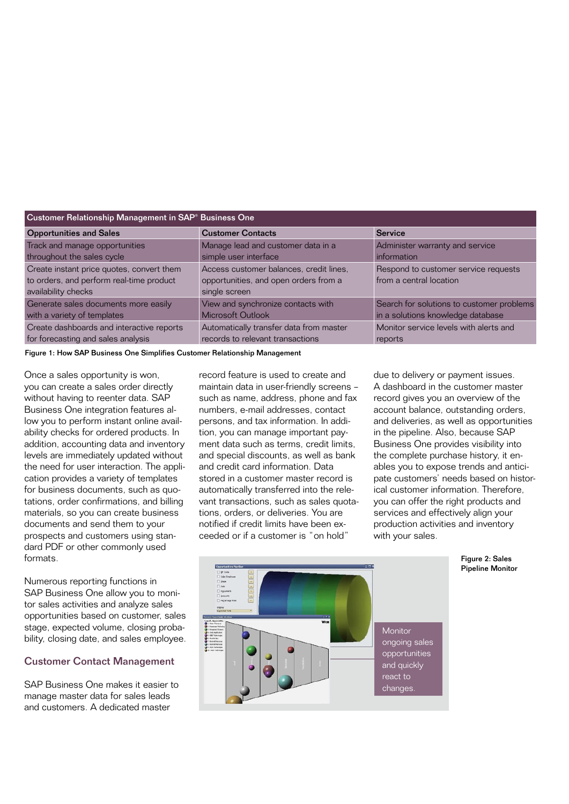| Customer Relationship Management in SAP <sup>®</sup> Business One |                                         |                                           |
|-------------------------------------------------------------------|-----------------------------------------|-------------------------------------------|
| <b>Opportunities and Sales</b>                                    | <b>Customer Contacts</b>                | <b>Service</b>                            |
| Track and manage opportunities                                    | Manage lead and customer data in a      | Administer warranty and service           |
| throughout the sales cycle                                        | simple user interface                   | information                               |
| Create instant price quotes, convert them                         | Access customer balances, credit lines, | Respond to customer service requests      |
| to orders, and perform real-time product                          | opportunities, and open orders from a   | from a central location                   |
| availability checks                                               | single screen                           |                                           |
| Generate sales documents more easily                              | View and synchronize contacts with      | Search for solutions to customer problems |
| with a variety of templates                                       | Microsoft Outlook                       | in a solutions knowledge database         |
| Create dashboards and interactive reports                         | Automatically transfer data from master | Monitor service levels with alerts and    |
| for forecasting and sales analysis                                | records to relevant transactions        | reports                                   |

Figure 1: How SAP Business One Simplifies Customer Relationship Management

Once a sales opportunity is won, you can create a sales order directly without having to reenter data. SAP Business One integration features allow you to perform instant online availability checks for ordered products. In addition, accounting data and inventory levels are immediately updated without the need for user interaction. The application provides a variety of templates for business documents, such as quotations, order confirmations, and billing materials, so you can create business documents and send them to your prospects and customers using standard PDF or other commonly used formats.

Numerous reporting functions in SAP Business One allow you to monitor sales activities and analyze sales opportunities based on customer, sales stage, expected volume, closing probability, closing date, and sales employee.

### Customer Contact Management

SAP Business One makes it easier to manage master data for sales leads and customers. A dedicated master

record feature is used to create and maintain data in user-friendly screens – such as name, address, phone and fax numbers, e-mail addresses, contact persons, and tax information. In addition, you can manage important payment data such as terms, credit limits, and special discounts, as well as bank and credit card information. Data stored in a customer master record is automatically transferred into the relevant transactions, such as sales quotations, orders, or deliveries. You are notified if credit limits have been exceeded or if a customer is "on hold"

due to delivery or payment issues. A dashboard in the customer master record gives you an overview of the account balance, outstanding orders, and deliveries, as well as opportunities in the pipeline. Also, because SAP Business One provides visibility into the complete purchase history, it enables you to expose trends and anticipate customers' needs based on historical customer information. Therefore, you can offer the right products and services and effectively align your production activities and inventory with your sales.



Figure 2: Sales Pipeline Monitor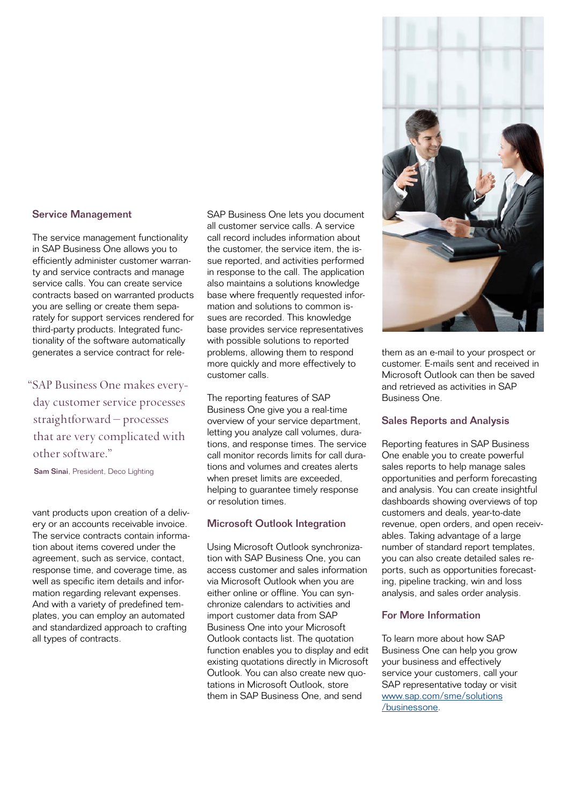### Service Management

The service management functionality in SAP Business One allows you to efficiently administer customer warranty and service contracts and manage service calls. You can create service contracts based on warranted products you are selling or create them separately for support services rendered for third-party products. Integrated functionality of the software automatically generates a service contract for rele-

"SAP Business One makes everyday customer service processes straightforward – processes that are very complicated with other software."

Sam Sinai, President, Deco Lighting

vant products upon creation of a delivery or an accounts receivable invoice. The service contracts contain information about items covered under the agreement, such as service, contact, response time, and coverage time, as well as specific item details and information regarding relevant expenses. And with a variety of predefined templates, you can employ an automated and standardized approach to crafting all types of contracts.

SAP Business One lets you document all customer service calls. A service call record includes information about the customer, the service item, the issue reported, and activities performed in response to the call. The application also maintains a solutions knowledge base where frequently requested information and solutions to common issues are recorded. This knowledge base provides service representatives with possible solutions to reported problems, allowing them to respond more quickly and more effectively to customer calls.

The reporting features of SAP Business One give you a real-time overview of your service department, letting you analyze call volumes, durations, and response times. The service call monitor records limits for call durations and volumes and creates alerts when preset limits are exceeded, helping to guarantee timely response or resolution times.

### Microsoft Outlook Integration

Using Microsoft Outlook synchronization with SAP Business One, you can access customer and sales information via Microsoft Outlook when you are either online or offline. You can synchronize calendars to activities and import customer data from SAP Business One into your Microsoft Outlook contacts list. The quotation function enables you to display and edit existing quotations directly in Microsoft Outlook. You can also create new quotations in Microsoft Outlook, store them in SAP Business One, and send



them as an e-mail to your prospect or customer. E-mails sent and received in Microsoft Outlook can then be saved and retrieved as activities in SAP Business One.

### Sales Reports and Analysis

Reporting features in SAP Business One enable you to create powerful sales reports to help manage sales opportunities and perform forecasting and analysis. You can create insightful dashboards showing overviews of top customers and deals, year-to-date revenue, open orders, and open receivables. Taking advantage of a large number of standard report templates, you can also create detailed sales reports, such as opportunities forecasting, pipeline tracking, win and loss analysis, and sales order analysis.

### For More Information

To learn more about how SAP Business One can help you grow your business and effectively service your customers, call your SAP representative today or visit [www.sap.com/sme/solutions](www.sap.com/sme/solutions/businessone) [/businessone](www.sap.com/sme/solutions/businessone).